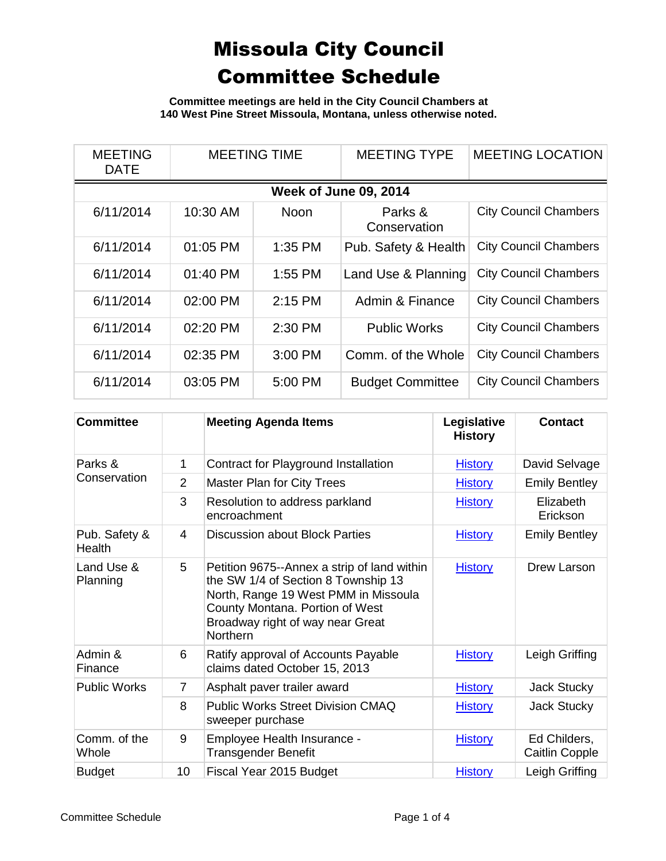**Committee meetings are held in the City Council Chambers at 140 West Pine Street Missoula, Montana, unless otherwise noted.**

| <b>MEETING</b><br><b>DATE</b> | <b>MEETING TIME</b> |             | <b>MEETING TYPE</b>     | <b>MEETING LOCATION</b>      |  |  |
|-------------------------------|---------------------|-------------|-------------------------|------------------------------|--|--|
| <b>Week of June 09, 2014</b>  |                     |             |                         |                              |  |  |
| 6/11/2014                     | 10:30 AM            | <b>Noon</b> | Parks &<br>Conservation | <b>City Council Chambers</b> |  |  |
| 6/11/2014                     | 01:05 PM            | 1:35 PM     | Pub. Safety & Health    | <b>City Council Chambers</b> |  |  |
| 6/11/2014                     | $01:40$ PM          | $1:55$ PM   | Land Use & Planning     | <b>City Council Chambers</b> |  |  |
| 6/11/2014                     | 02:00 PM            | $2:15$ PM   | Admin & Finance         | <b>City Council Chambers</b> |  |  |
| 6/11/2014                     | 02:20 PM            | 2:30 PM     | <b>Public Works</b>     | <b>City Council Chambers</b> |  |  |
| 6/11/2014                     | 02:35 PM            | 3:00 PM     | Comm. of the Whole      | <b>City Council Chambers</b> |  |  |
| 6/11/2014                     | 03:05 PM            | 5:00 PM     | <b>Budget Committee</b> | <b>City Council Chambers</b> |  |  |

| <b>Committee</b>        |                | <b>Meeting Agenda Items</b>                                                                                                                                                                                          | Legislative<br><b>History</b> | <b>Contact</b>                 |
|-------------------------|----------------|----------------------------------------------------------------------------------------------------------------------------------------------------------------------------------------------------------------------|-------------------------------|--------------------------------|
| Parks &<br>Conservation | 1              | Contract for Playground Installation                                                                                                                                                                                 | <b>History</b>                | David Selvage                  |
|                         | $\overline{2}$ | <b>Master Plan for City Trees</b>                                                                                                                                                                                    | <b>History</b>                | <b>Emily Bentley</b>           |
|                         | 3              | Resolution to address parkland<br>encroachment                                                                                                                                                                       | <b>History</b>                | Elizabeth<br>Erickson          |
| Pub. Safety &<br>Health | $\overline{4}$ | <b>Discussion about Block Parties</b>                                                                                                                                                                                | <b>History</b>                | <b>Emily Bentley</b>           |
| Land Use &<br>Planning  | 5              | Petition 9675--Annex a strip of land within<br>the SW 1/4 of Section 8 Township 13<br>North, Range 19 West PMM in Missoula<br>County Montana. Portion of West<br>Broadway right of way near Great<br><b>Northern</b> | <b>History</b>                | Drew Larson                    |
| Admin &<br>Finance      | 6              | Ratify approval of Accounts Payable<br>claims dated October 15, 2013                                                                                                                                                 | <b>History</b>                | Leigh Griffing                 |
| <b>Public Works</b>     | $\overline{7}$ | Asphalt paver trailer award                                                                                                                                                                                          | <b>History</b>                | <b>Jack Stucky</b>             |
|                         | 8              | <b>Public Works Street Division CMAQ</b><br>sweeper purchase                                                                                                                                                         | <b>History</b>                | <b>Jack Stucky</b>             |
| Comm. of the<br>Whole   | 9              | Employee Health Insurance -<br>Transgender Benefit                                                                                                                                                                   | <b>History</b>                | Ed Childers,<br>Caitlin Copple |
| <b>Budget</b>           | 10             | Fiscal Year 2015 Budget                                                                                                                                                                                              | <b>History</b>                | Leigh Griffing                 |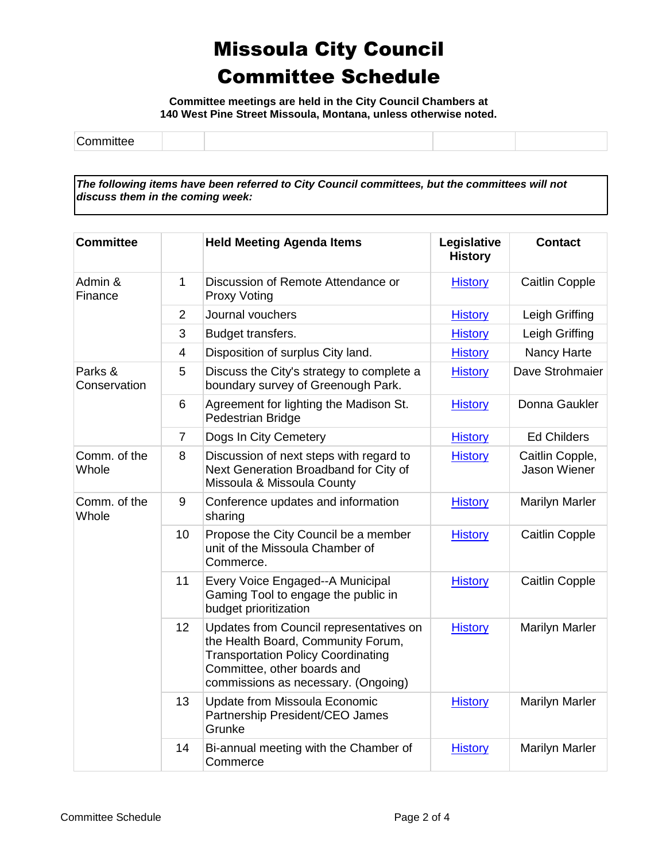**Committee meetings are held in the City Council Chambers at 140 West Pine Street Missoula, Montana, unless otherwise noted.**

| -<br>. |  |  |  |
|--------|--|--|--|
|--------|--|--|--|

*The following items have been referred to City Council committees, but the committees will not discuss them in the coming week:*

| <b>Committee</b>        |                | <b>Held Meeting Agenda Items</b>                                                                                                                                                                 | Legislative<br><b>History</b> | <b>Contact</b>                  |
|-------------------------|----------------|--------------------------------------------------------------------------------------------------------------------------------------------------------------------------------------------------|-------------------------------|---------------------------------|
| Admin &<br>Finance      | $\mathbf{1}$   | Discussion of Remote Attendance or<br><b>Proxy Voting</b>                                                                                                                                        | <b>History</b>                | <b>Caitlin Copple</b>           |
|                         | 2              | Journal vouchers                                                                                                                                                                                 | <b>History</b>                | Leigh Griffing                  |
|                         | 3              | Budget transfers.                                                                                                                                                                                | <b>History</b>                | Leigh Griffing                  |
|                         | $\overline{4}$ | Disposition of surplus City land.                                                                                                                                                                | <b>History</b>                | Nancy Harte                     |
| Parks &<br>Conservation | 5              | Discuss the City's strategy to complete a<br>boundary survey of Greenough Park.                                                                                                                  | <b>History</b>                | Dave Strohmaier                 |
|                         | 6              | Agreement for lighting the Madison St.<br>Pedestrian Bridge                                                                                                                                      | <b>History</b>                | Donna Gaukler                   |
|                         | $\overline{7}$ | Dogs In City Cemetery                                                                                                                                                                            | <b>History</b>                | <b>Ed Childers</b>              |
| Comm. of the<br>Whole   | 8              | Discussion of next steps with regard to<br>Next Generation Broadband for City of<br>Missoula & Missoula County                                                                                   | <b>History</b>                | Caitlin Copple,<br>Jason Wiener |
| Comm. of the<br>Whole   | 9              | Conference updates and information<br>sharing                                                                                                                                                    | <b>History</b>                | <b>Marilyn Marler</b>           |
|                         | 10             | Propose the City Council be a member<br>unit of the Missoula Chamber of<br>Commerce.                                                                                                             | <b>History</b>                | Caitlin Copple                  |
|                         | 11             | Every Voice Engaged--A Municipal<br>Gaming Tool to engage the public in<br>budget prioritization                                                                                                 | <b>History</b>                | <b>Caitlin Copple</b>           |
|                         | 12             | Updates from Council representatives on<br>the Health Board, Community Forum,<br><b>Transportation Policy Coordinating</b><br>Committee, other boards and<br>commissions as necessary. (Ongoing) | <b>History</b>                | <b>Marilyn Marler</b>           |
|                         | 13             | Update from Missoula Economic<br>Partnership President/CEO James<br>Grunke                                                                                                                       | <b>History</b>                | <b>Marilyn Marler</b>           |
|                         | 14             | Bi-annual meeting with the Chamber of<br>Commerce                                                                                                                                                | <b>History</b>                | <b>Marilyn Marler</b>           |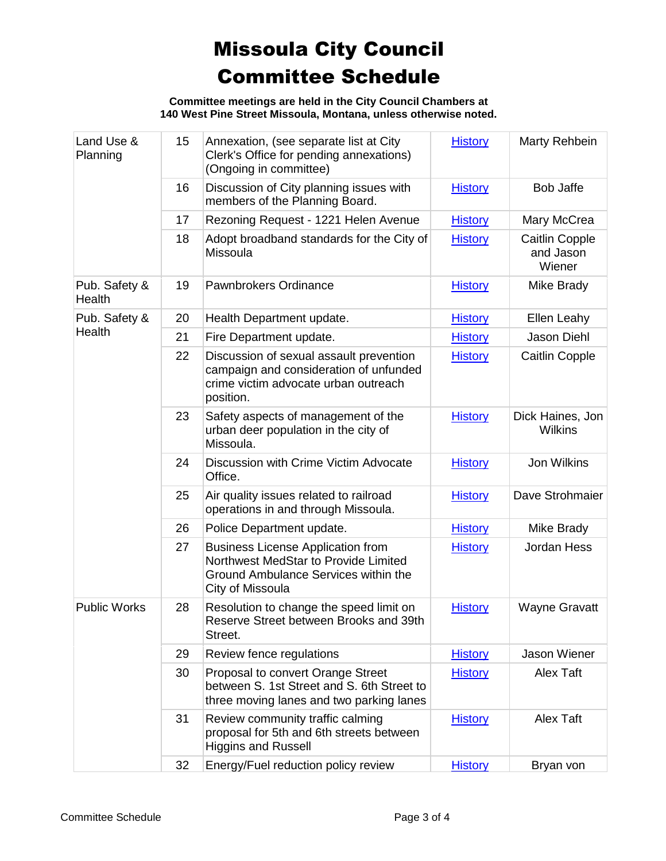**Committee meetings are held in the City Council Chambers at 140 West Pine Street Missoula, Montana, unless otherwise noted.**

| Land Use &<br>Planning  | 15 | Annexation, (see separate list at City<br>Clerk's Office for pending annexations)<br>(Ongoing in committee)                                  | <b>History</b> | Marty Rehbein                                |
|-------------------------|----|----------------------------------------------------------------------------------------------------------------------------------------------|----------------|----------------------------------------------|
|                         | 16 | Discussion of City planning issues with<br>members of the Planning Board.                                                                    | <b>History</b> | <b>Bob Jaffe</b>                             |
|                         | 17 | Rezoning Request - 1221 Helen Avenue                                                                                                         | <b>History</b> | Mary McCrea                                  |
|                         | 18 | Adopt broadband standards for the City of<br>Missoula                                                                                        | <b>History</b> | <b>Caitlin Copple</b><br>and Jason<br>Wiener |
| Pub. Safety &<br>Health | 19 | Pawnbrokers Ordinance                                                                                                                        | <b>History</b> | Mike Brady                                   |
| Pub. Safety &           | 20 | Health Department update.                                                                                                                    | <b>History</b> | Ellen Leahy                                  |
| Health                  | 21 | Fire Department update.                                                                                                                      | <b>History</b> | Jason Diehl                                  |
|                         | 22 | Discussion of sexual assault prevention<br>campaign and consideration of unfunded<br>crime victim advocate urban outreach<br>position.       | <b>History</b> | <b>Caitlin Copple</b>                        |
|                         | 23 | Safety aspects of management of the<br>urban deer population in the city of<br>Missoula.                                                     | <b>History</b> | Dick Haines, Jon<br><b>Wilkins</b>           |
|                         | 24 | Discussion with Crime Victim Advocate<br>Office.                                                                                             | <b>History</b> | <b>Jon Wilkins</b>                           |
|                         | 25 | Air quality issues related to railroad<br>operations in and through Missoula.                                                                | <b>History</b> | Dave Strohmaier                              |
|                         | 26 | Police Department update.                                                                                                                    | <b>History</b> | Mike Brady                                   |
|                         | 27 | <b>Business License Application from</b><br>Northwest MedStar to Provide Limited<br>Ground Ambulance Services within the<br>City of Missoula | <b>History</b> | Jordan Hess                                  |
| <b>Public Works</b>     | 28 | Resolution to change the speed limit on<br>Reserve Street between Brooks and 39th<br>Street.                                                 | <b>History</b> | <b>Wayne Gravatt</b>                         |
|                         | 29 | Review fence regulations                                                                                                                     | <b>History</b> | Jason Wiener                                 |
|                         | 30 | Proposal to convert Orange Street<br>between S. 1st Street and S. 6th Street to<br>three moving lanes and two parking lanes                  | <b>History</b> | Alex Taft                                    |
|                         | 31 | Review community traffic calming<br>proposal for 5th and 6th streets between<br><b>Higgins and Russell</b>                                   | <b>History</b> | <b>Alex Taft</b>                             |
|                         | 32 | Energy/Fuel reduction policy review                                                                                                          | <b>History</b> | Bryan von                                    |